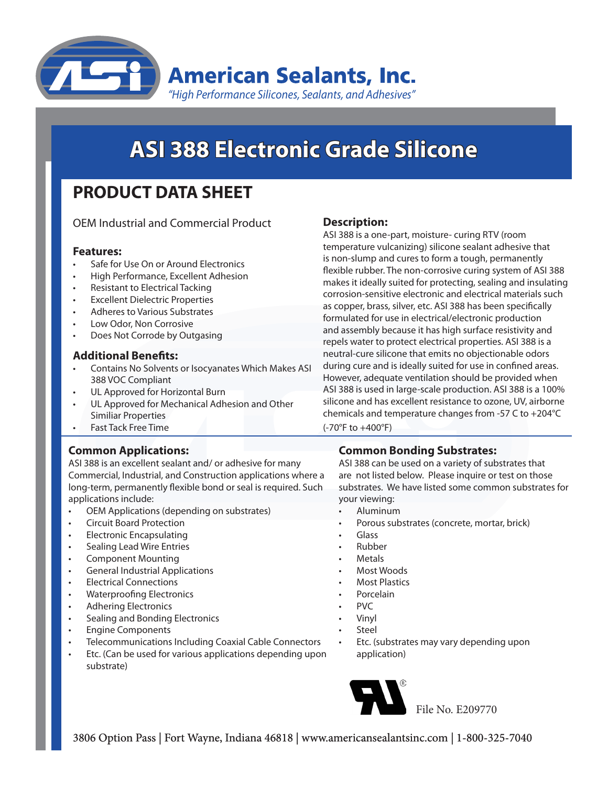

# **ASI 388 Electronic Grade Silicone**

# **PRODUCT DATA SHEET**

OEM Industrial and Commercial Product

#### **Features:**

- Safe for Use On or Around Electronics
- High Performance, Excellent Adhesion
- Resistant to Electrical Tacking
- **Excellent Dielectric Properties**
- Adheres to Various Substrates
- Low Odor, Non Corrosive
- Does Not Corrode by Outgasing

#### **Additional Benefits:**

- Contains No Solvents or Isocyanates Which Makes ASI 388 VOC Compliant
- UL Approved for Horizontal Burn
- UL Approved for Mechanical Adhesion and Other Similiar Properties
- **Fast Tack Free Time**

# **Common Applications:**

ASI 388 is an excellent sealant and/ or adhesive for many Commercial, Industrial, and Construction applications where a long-term, permanently flexible bond or seal is required. Such applications include:

- OEM Applications (depending on substrates)
- **Circuit Board Protection**
- **Electronic Encapsulating**
- **Sealing Lead Wire Entries**
- Component Mounting
- **General Industrial Applications**
- **Electrical Connections**
- Waterproofing Electronics
- **Adhering Electronics**
- Sealing and Bonding Electronics
- **Engine Components**
- Telecommunications Including Coaxial Cable Connectors
- Etc. (Can be used for various applications depending upon substrate)

# **Description:**

ASI 388 is a one-part, moisture- curing RTV (room temperature vulcanizing) silicone sealant adhesive that is non-slump and cures to form a tough, permanently flexible rubber. The non-corrosive curing system of ASI 388 makes it ideally suited for protecting, sealing and insulating corrosion-sensitive electronic and electrical materials such as copper, brass, silver, etc. ASI 388 has been specifically formulated for use in electrical/electronic production and assembly because it has high surface resistivity and repels water to protect electrical properties. ASI 388 is a neutral-cure silicone that emits no objectionable odors during cure and is ideally suited for use in confined areas. However, adequate ventilation should be provided when ASI 388 is used in large-scale production. ASI 388 is a 100% silicone and has excellent resistance to ozone, UV, airborne chemicals and temperature changes from -57 C to +204°C (-70°F to +400°F)

# **Common Bonding Substrates:**

ASI 388 can be used on a variety of substrates that are not listed below. Please inquire or test on those substrates. We have listed some common substrates for your viewing:

- **Aluminum**
- Porous substrates (concrete, mortar, brick)
- Glass
- **Rubber**
- **Metals**
- Most Woods
- **Most Plastics**
- **Porcelain**
- PVC
- **Vinyl**
- **Steel**
- Etc. (substrates may vary depending upon application)